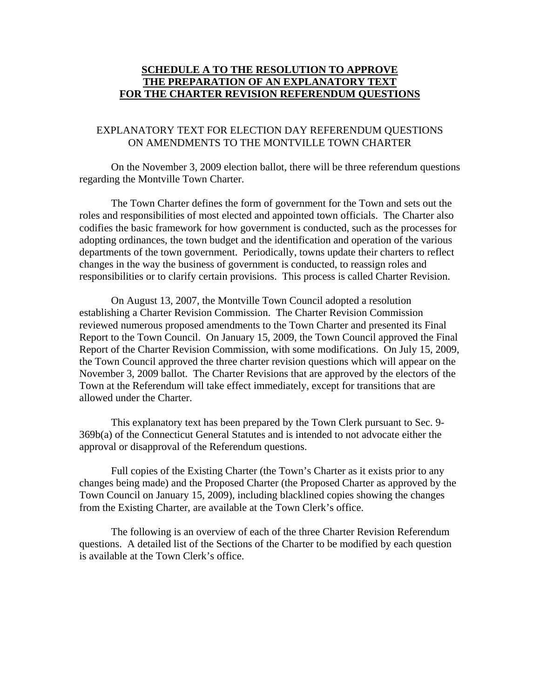## **SCHEDULE A TO THE RESOLUTION TO APPROVE THE PREPARATION OF AN EXPLANATORY TEXT FOR THE CHARTER REVISION REFERENDUM QUESTIONS**

#### EXPLANATORY TEXT FOR ELECTION DAY REFERENDUM QUESTIONS ON AMENDMENTS TO THE MONTVILLE TOWN CHARTER

 On the November 3, 2009 election ballot, there will be three referendum questions regarding the Montville Town Charter.

The Town Charter defines the form of government for the Town and sets out the roles and responsibilities of most elected and appointed town officials. The Charter also codifies the basic framework for how government is conducted, such as the processes for adopting ordinances, the town budget and the identification and operation of the various departments of the town government. Periodically, towns update their charters to reflect changes in the way the business of government is conducted, to reassign roles and responsibilities or to clarify certain provisions. This process is called Charter Revision.

On August 13, 2007, the Montville Town Council adopted a resolution establishing a Charter Revision Commission. The Charter Revision Commission reviewed numerous proposed amendments to the Town Charter and presented its Final Report to the Town Council. On January 15, 2009, the Town Council approved the Final Report of the Charter Revision Commission, with some modifications. On July 15, 2009, the Town Council approved the three charter revision questions which will appear on the November 3, 2009 ballot. The Charter Revisions that are approved by the electors of the Town at the Referendum will take effect immediately, except for transitions that are allowed under the Charter.

 This explanatory text has been prepared by the Town Clerk pursuant to Sec. 9- 369b(a) of the Connecticut General Statutes and is intended to not advocate either the approval or disapproval of the Referendum questions.

Full copies of the Existing Charter (the Town's Charter as it exists prior to any changes being made) and the Proposed Charter (the Proposed Charter as approved by the Town Council on January 15, 2009), including blacklined copies showing the changes from the Existing Charter, are available at the Town Clerk's office.

The following is an overview of each of the three Charter Revision Referendum questions. A detailed list of the Sections of the Charter to be modified by each question is available at the Town Clerk's office.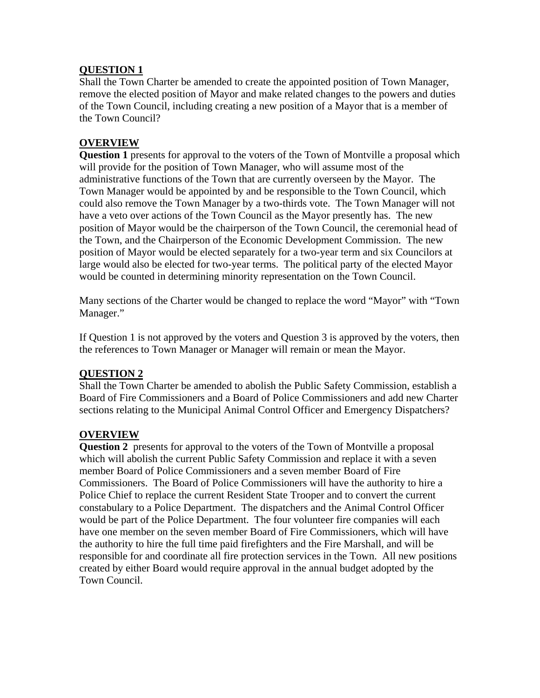## **QUESTION 1**

Shall the Town Charter be amended to create the appointed position of Town Manager, remove the elected position of Mayor and make related changes to the powers and duties of the Town Council, including creating a new position of a Mayor that is a member of the Town Council?

## **OVERVIEW**

**Question 1** presents for approval to the voters of the Town of Montville a proposal which will provide for the position of Town Manager, who will assume most of the administrative functions of the Town that are currently overseen by the Mayor. The Town Manager would be appointed by and be responsible to the Town Council, which could also remove the Town Manager by a two-thirds vote. The Town Manager will not have a veto over actions of the Town Council as the Mayor presently has. The new position of Mayor would be the chairperson of the Town Council, the ceremonial head of the Town, and the Chairperson of the Economic Development Commission. The new position of Mayor would be elected separately for a two-year term and six Councilors at large would also be elected for two-year terms. The political party of the elected Mayor would be counted in determining minority representation on the Town Council.

Many sections of the Charter would be changed to replace the word "Mayor" with "Town Manager."

If Question 1 is not approved by the voters and Question 3 is approved by the voters, then the references to Town Manager or Manager will remain or mean the Mayor.

#### **QUESTION 2**

Shall the Town Charter be amended to abolish the Public Safety Commission, establish a Board of Fire Commissioners and a Board of Police Commissioners and add new Charter sections relating to the Municipal Animal Control Officer and Emergency Dispatchers?

#### **OVERVIEW**

**Question 2** presents for approval to the voters of the Town of Montville a proposal which will abolish the current Public Safety Commission and replace it with a seven member Board of Police Commissioners and a seven member Board of Fire Commissioners. The Board of Police Commissioners will have the authority to hire a Police Chief to replace the current Resident State Trooper and to convert the current constabulary to a Police Department. The dispatchers and the Animal Control Officer would be part of the Police Department. The four volunteer fire companies will each have one member on the seven member Board of Fire Commissioners, which will have the authority to hire the full time paid firefighters and the Fire Marshall, and will be responsible for and coordinate all fire protection services in the Town. All new positions created by either Board would require approval in the annual budget adopted by the Town Council.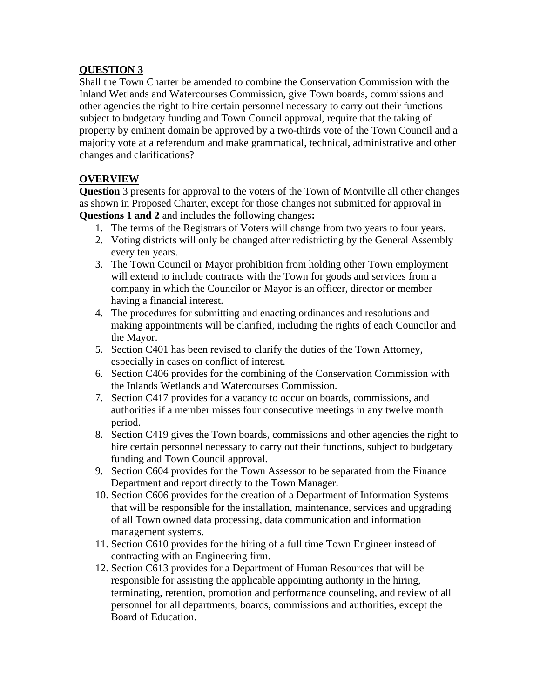## **QUESTION 3**

Shall the Town Charter be amended to combine the Conservation Commission with the Inland Wetlands and Watercourses Commission, give Town boards, commissions and other agencies the right to hire certain personnel necessary to carry out their functions subject to budgetary funding and Town Council approval, require that the taking of property by eminent domain be approved by a two-thirds vote of the Town Council and a majority vote at a referendum and make grammatical, technical, administrative and other changes and clarifications?

# **OVERVIEW**

**Question** 3 presents for approval to the voters of the Town of Montville all other changes as shown in Proposed Charter, except for those changes not submitted for approval in **Questions 1 and 2** and includes the following changes**:** 

- 1. The terms of the Registrars of Voters will change from two years to four years.
- 2. Voting districts will only be changed after redistricting by the General Assembly every ten years.
- 3. The Town Council or Mayor prohibition from holding other Town employment will extend to include contracts with the Town for goods and services from a company in which the Councilor or Mayor is an officer, director or member having a financial interest.
- 4. The procedures for submitting and enacting ordinances and resolutions and making appointments will be clarified, including the rights of each Councilor and the Mayor.
- 5. Section C401 has been revised to clarify the duties of the Town Attorney, especially in cases on conflict of interest.
- 6. Section C406 provides for the combining of the Conservation Commission with the Inlands Wetlands and Watercourses Commission.
- 7. Section C417 provides for a vacancy to occur on boards, commissions, and authorities if a member misses four consecutive meetings in any twelve month period.
- 8. Section C419 gives the Town boards, commissions and other agencies the right to hire certain personnel necessary to carry out their functions, subject to budgetary funding and Town Council approval.
- 9. Section C604 provides for the Town Assessor to be separated from the Finance Department and report directly to the Town Manager.
- 10. Section C606 provides for the creation of a Department of Information Systems that will be responsible for the installation, maintenance, services and upgrading of all Town owned data processing, data communication and information management systems.
- 11. Section C610 provides for the hiring of a full time Town Engineer instead of contracting with an Engineering firm.
- 12. Section C613 provides for a Department of Human Resources that will be responsible for assisting the applicable appointing authority in the hiring, terminating, retention, promotion and performance counseling, and review of all personnel for all departments, boards, commissions and authorities, except the Board of Education.